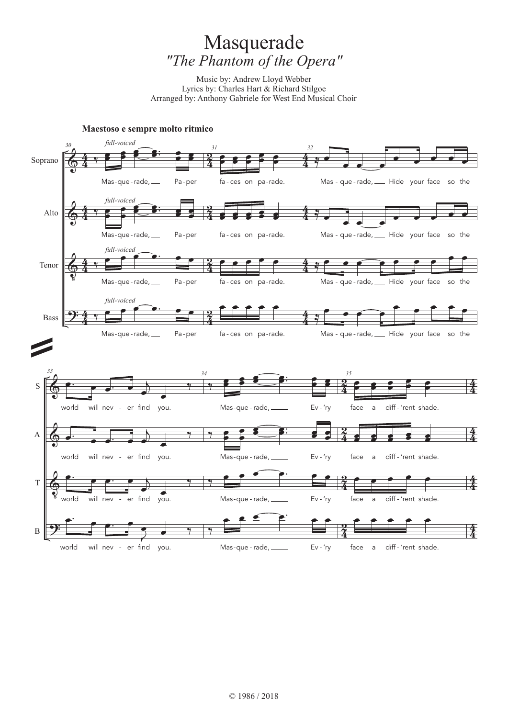# Masquerade *"The Phantom of the Opera"*

Music by: Andrew Lloyd Webber Lyrics by: Charles Hart & Richard Stilgoe Arranged by: Anthony Gabriele for West End Musical Choir

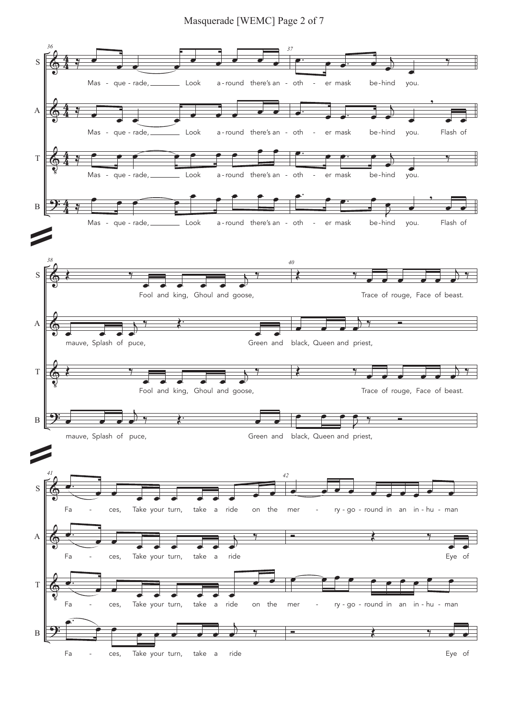### Masquerade [WEMC] Page 2 of 7

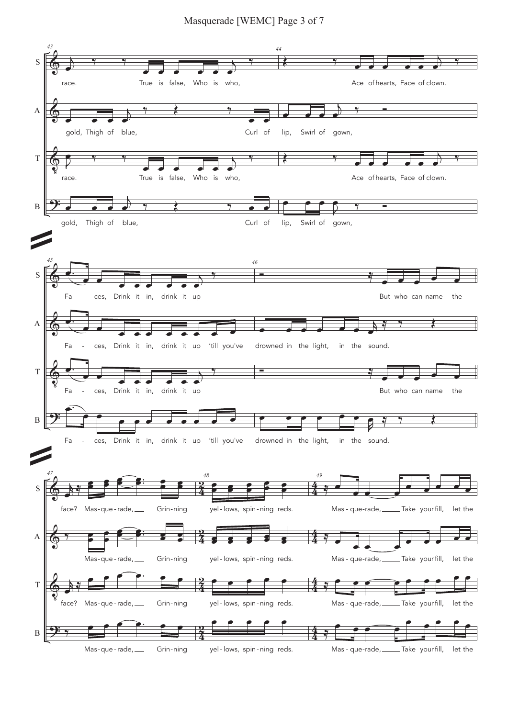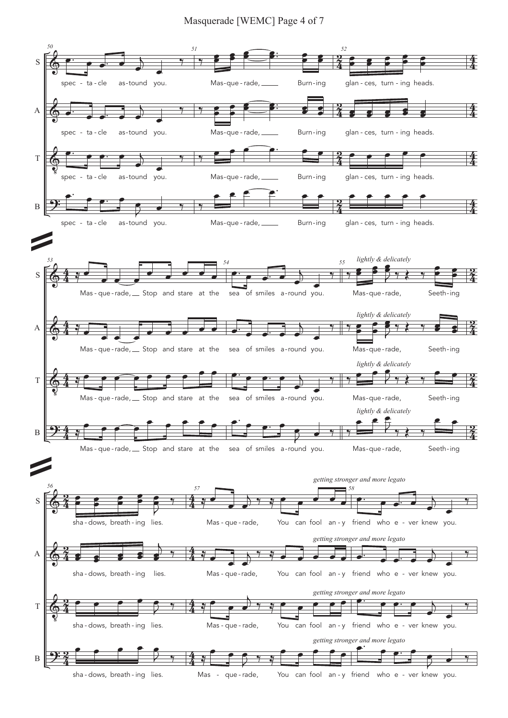#### Masquerade [WEMC] Page 4 of 7

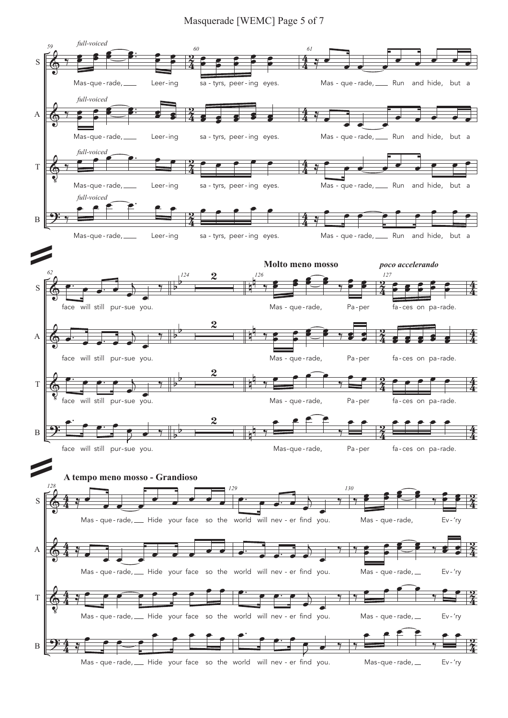#### Masquerade [WEMC] Page 5 of 7

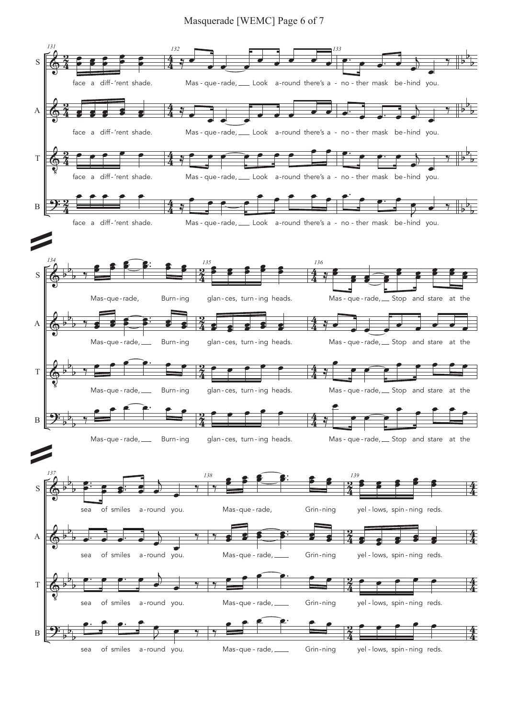#### Masquerade [WEMC] Page 6 of 7